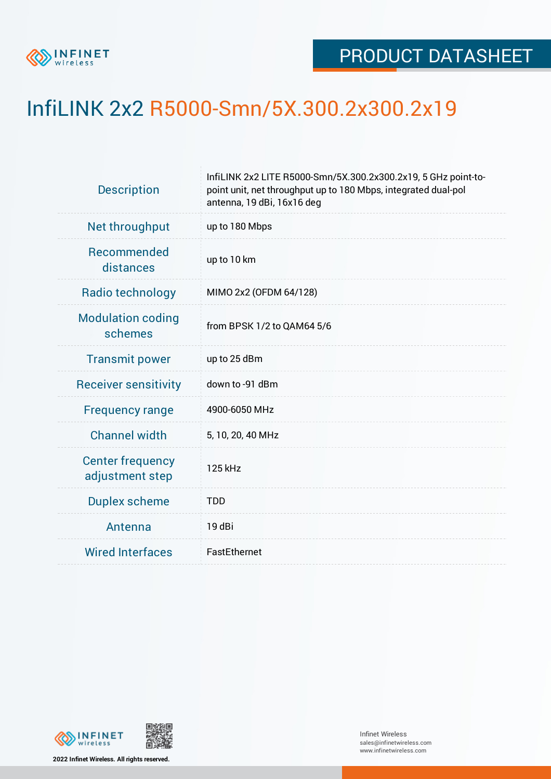

## InfiLINK 2x2 R5000-Smn/5X.300.2x300.2x19

| <b>Description</b>                         | InfiLINK 2x2 LITE R5000-Smn/5X.300.2x300.2x19, 5 GHz point-to-<br>point unit, net throughput up to 180 Mbps, integrated dual-pol<br>antenna, 19 dBi, 16x16 deg |  |  |  |  |
|--------------------------------------------|----------------------------------------------------------------------------------------------------------------------------------------------------------------|--|--|--|--|
| Net throughput                             | up to 180 Mbps                                                                                                                                                 |  |  |  |  |
| Recommended<br>distances                   | up to 10 km                                                                                                                                                    |  |  |  |  |
| Radio technology                           | MIMO 2x2 (OFDM 64/128)                                                                                                                                         |  |  |  |  |
| <b>Modulation coding</b><br>schemes        | from BPSK 1/2 to QAM64 5/6                                                                                                                                     |  |  |  |  |
| <b>Transmit power</b>                      | up to 25 dBm                                                                                                                                                   |  |  |  |  |
| <b>Receiver sensitivity</b>                | down to -91 dBm                                                                                                                                                |  |  |  |  |
| <b>Frequency range</b>                     | 4900-6050 MHz                                                                                                                                                  |  |  |  |  |
| <b>Channel width</b>                       | 5, 10, 20, 40 MHz                                                                                                                                              |  |  |  |  |
| <b>Center frequency</b><br>adjustment step | 125 kHz                                                                                                                                                        |  |  |  |  |
| <b>Duplex scheme</b>                       | <b>TDD</b>                                                                                                                                                     |  |  |  |  |
| Antenna                                    | 19 dBi                                                                                                                                                         |  |  |  |  |
| <b>Wired Interfaces</b>                    | FastEthernet                                                                                                                                                   |  |  |  |  |



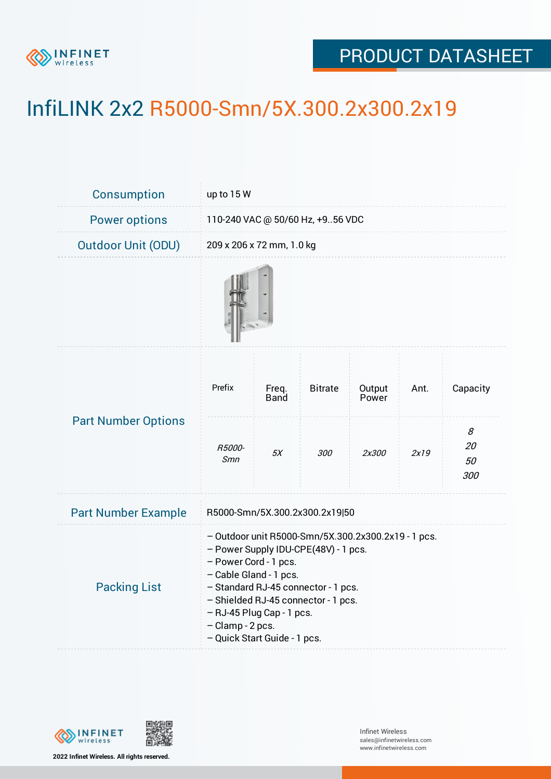

## PRODUCT DATASHEET

## InfiLINK 2x2 R5000-Smn/5X.300.2x300.2x19

| Consumption                | up to 15 W                                                                                                                                                                                                                                                                                                    |                      |                |                 |      |                      |  |  |
|----------------------------|---------------------------------------------------------------------------------------------------------------------------------------------------------------------------------------------------------------------------------------------------------------------------------------------------------------|----------------------|----------------|-----------------|------|----------------------|--|--|
| <b>Power options</b>       | 110-240 VAC @ 50/60 Hz, +956 VDC                                                                                                                                                                                                                                                                              |                      |                |                 |      |                      |  |  |
| <b>Outdoor Unit (ODU)</b>  | 209 x 206 x 72 mm, 1.0 kg                                                                                                                                                                                                                                                                                     |                      |                |                 |      |                      |  |  |
|                            |                                                                                                                                                                                                                                                                                                               |                      |                |                 |      |                      |  |  |
| <b>Part Number Options</b> | Prefix                                                                                                                                                                                                                                                                                                        | Freq.<br><b>Band</b> | <b>Bitrate</b> | Output<br>Power | Ant. | Capacity             |  |  |
|                            | R5000-<br>Smn                                                                                                                                                                                                                                                                                                 | 5X                   | <i>300</i>     | 2x300           | 2x19 | 8<br>20<br>50<br>300 |  |  |
| <b>Part Number Example</b> | R5000-Smn/5X.300.2x300.2x19 50                                                                                                                                                                                                                                                                                |                      |                |                 |      |                      |  |  |
| <b>Packing List</b>        | - Outdoor unit R5000-Smn/5X.300.2x300.2x19 - 1 pcs.<br>- Power Supply IDU-CPE(48V) - 1 pcs.<br>- Power Cord - 1 pcs.<br>- Cable Gland - 1 pcs.<br>- Standard RJ-45 connector - 1 pcs.<br>- Shielded RJ-45 connector - 1 pcs.<br>- RJ-45 Plug Cap - 1 pcs.<br>- Clamp - 2 pcs.<br>- Quick Start Guide - 1 pcs. |                      |                |                 |      |                      |  |  |



**2022 Infinet Wireless. All rights reserved.**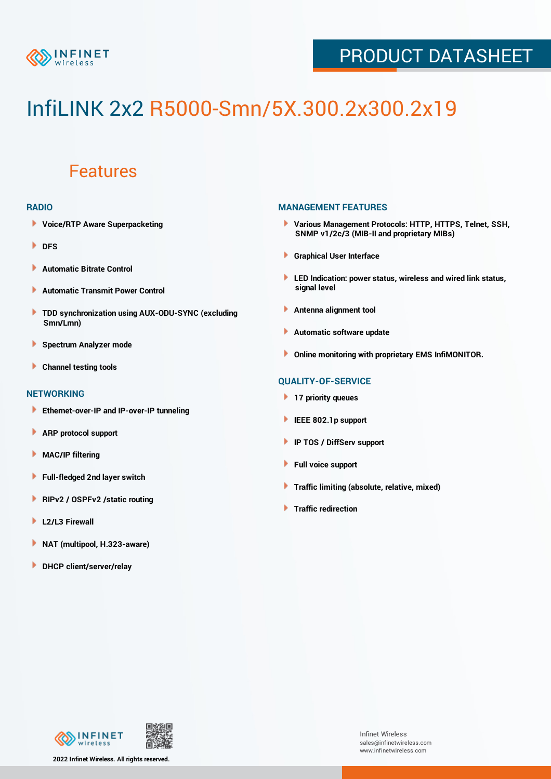

## PRODUCT DATASHEET

# InfiLINK 2x2 R5000-Smn/5X.300.2x300.2x19

### Features

#### **RADIO**

- **Voice/RTP Aware Superpacketing**
- **DFS**
- **Automatic Bitrate Control** Þ
- Þ **Automatic Transmit Power Control**
- ь **TDD synchronization using AUX-ODU-SYNC (excluding Smn/Lmn)**
- **Spectrum Analyzer mode** ۰
- **Channel testing tools** ١

#### **NETWORKING**

- **Ethernet-over-IP and IP-over-IP tunneling**
- Þ **ARP protocol support**
- ۱ **MAC/IP filtering**
- Þ **Full-fledged 2nd layer switch**
- Þ **RIPv2 / OSPFv2 /static routing**
- **L2/L3 Firewall** Þ
- **NAT (multipool, H.323-aware)** Þ
- Þ **DHCP client/server/relay**

#### **MANAGEMENT FEATURES**

- **Various Management Protocols: HTTP, HTTPS, Telnet, SSH, SNMP v1/2c/3 (MIB-II and proprietary MIBs)**
- **Graphical User Interface**
- **LED Indication: power status, wireless and wired link status, signal level**
- **Antenna alignment tool**
- ٠ **Automatic software update**
- **Online monitoring with proprietary EMS InfiMONITOR.**

#### **QUALITY-OF-SERVICE**

- **17 priority queues**
- **IEEE 802.1p support**
- **IP TOS / DiffServ support**
- ٠ **Full voice support**
- **Traffic limiting (absolute, relative, mixed)** ٠
- **Traffic redirection**